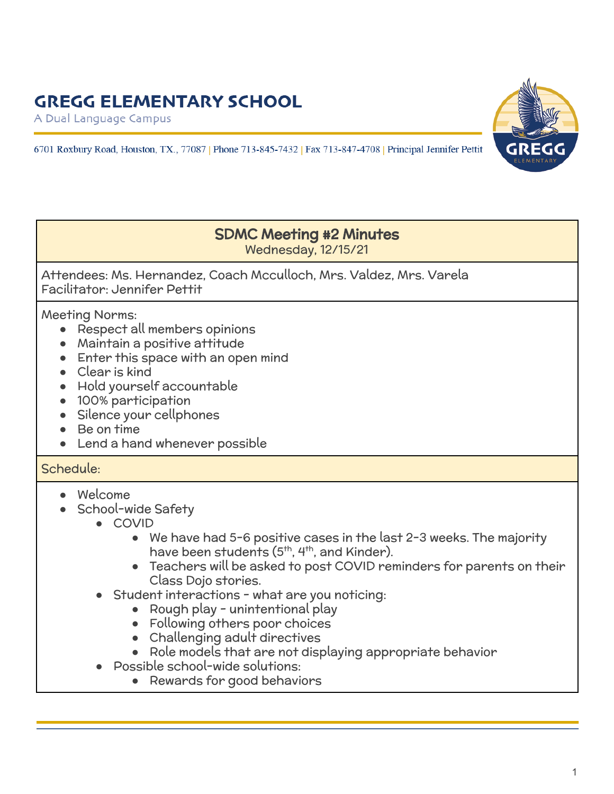## **GREGG ELEMENTARY SCHOOL**

A Dual Language Campus





### SDMC Meeting #2 Minutes Wednesday, 12/15/21

Attendees: Ms. Hernandez, Coach Mcculloch, Mrs. Valdez, Mrs. Varela Facilitator: Jennifer Pettit

Meeting Norms:

- Respect all members opinions
- Maintain a positive attitude
- Enter this space with an open mind
- Clear is kind
- Hold yourself accountable
- 100% participation
- Silence your cellphones
- Be on time
- Lend a hand whenever possible

#### Schedule:

- Welcome
- School-wide Safety
	- COVID
		- We have had 5-6 positive cases in the last 2-3 weeks. The majority have been students (5<sup>th</sup>, 4<sup>th</sup>, and Kinder).
		- Teachers will be asked to post COVID reminders for parents on their Class Dojo stories.
	- Student interactions what are you noticing:
		- Rough play unintentional play
		- Following others poor choices
		- Challenging adult directives
		- Role models that are not displaying appropriate behavior
	- Possible school-wide solutions:
		- Rewards for good behaviors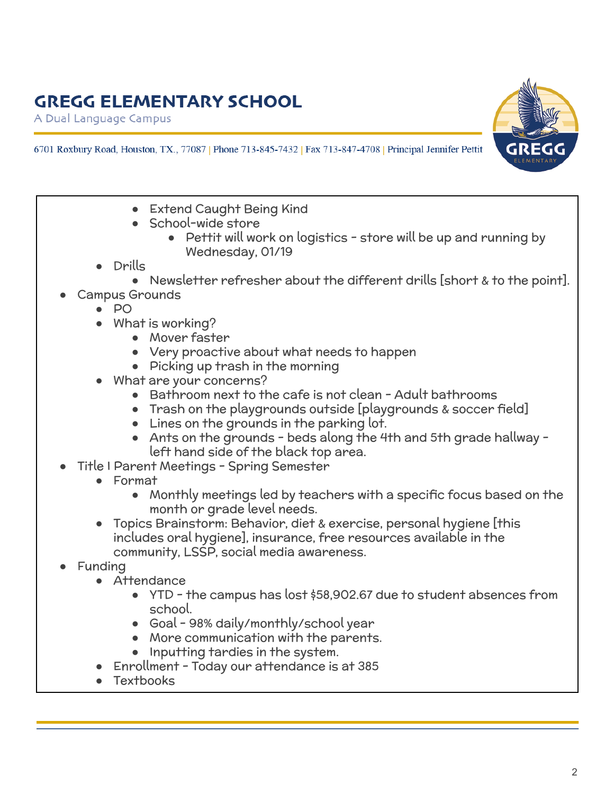# **GREGG ELEMENTARY SCHOOL**

A Dual Language Campus



- 6701 Roxbury Road, Houston, TX., 77087 | Phone 713-845-7432 | Fax 713-847-4708 | Principal Jennifer Pettit
	- Extend Caught Being Kind
	- School-wide store
		- Pettit will work on logistics store will be up and running by Wednesday, 01/19
	- Drills
		- Newsletter refresher about the different drills [short & to the point].
	- **Campus Grounds** 
		- PO
		- What is working?
			- Mover faster
			- Very proactive about what needs to happen
			- Picking up trash in the morning
		- What are your concerns?
			- Bathroom next to the cafe is not clean Adult bathrooms
			- Trash on the playgrounds outside [playgrounds & soccer field]
			- Lines on the grounds in the parking lot.
			- Ants on the grounds beds along the 4th and 5th grade hallway left hand side of the black top area.
	- Title I Parent Meetings Spring Semester
		- Format
			- Monthly meetings led by teachers with a specific focus based on the month or grade level needs.
		- Topics Brainstorm: Behavior, diet & exercise, personal hygiene [this includes oral hygiene], insurance, free resources available in the community, LSSP, social media awareness.
	- **Funding** 
		- Attendance
			- YTD the campus has lost \$58,902.67 due to student absences from school.
			- Goal 98% daily/monthly/school year
			- More communication with the parents.
			- Inputting tardies in the system.
		- Enrollment Today our attendance is at 385
		- **Textbooks**